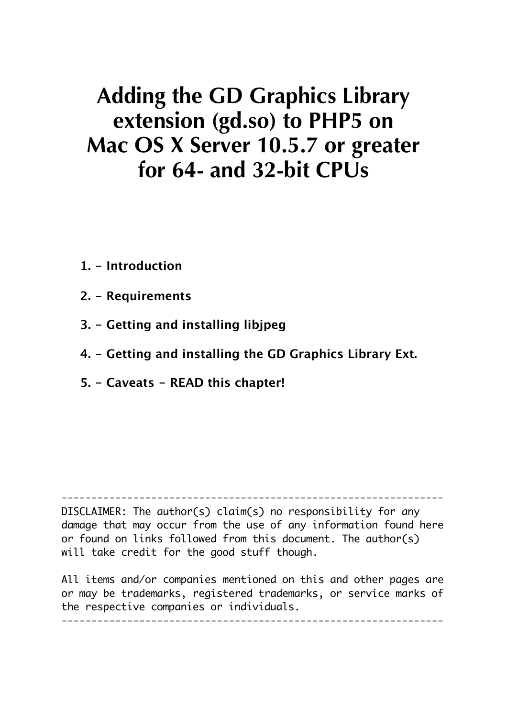# **Adding the GD Graphics Library extension (gd.so) to PHP5 on Mac OS X Server 10.5.7 or greater for 64- and 32-bit CPUs**

- **1. Introduction**
- **2. Requirements**
- **3. Getting and installing libjpeg**
- **4. Getting and installing the GD Graphics Library Ext.**
- **5. Caveats READ this chapter!**

---------------------------------------------------------------- DISCLAIMER: The author(s) claim(s) no responsibility for any damage that may occur from the use of any information found here or found on links followed from this document. The author(s) will take credit for the good stuff though.

All items and/or companies mentioned on this and other pages are or may be trademarks, registered trademarks, or service marks of the respective companies or individuals.

----------------------------------------------------------------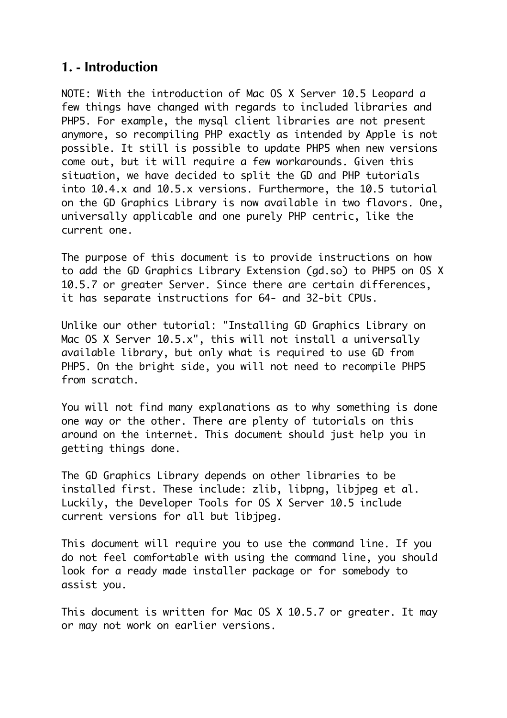## **1. - Introduction**

NOTE: With the introduction of Mac OS X Server 10.5 Leopard a few things have changed with regards to included libraries and PHP5. For example, the mysql client libraries are not present anymore, so recompiling PHP exactly as intended by Apple is not possible. It still is possible to update PHP5 when new versions come out, but it will require a few workarounds. Given this situation, we have decided to split the GD and PHP tutorials into 10.4.x and 10.5.x versions. Furthermore, the 10.5 tutorial on the GD Graphics Library is now available in two flavors. One, universally applicable and one purely PHP centric, like the current one.

The purpose of this document is to provide instructions on how to add the GD Graphics Library Extension (gd.so) to PHP5 on OS X 10.5.7 or greater Server. Since there are certain differences, it has separate instructions for 64- and 32-bit CPUs.

Unlike our other tutorial: "Installing GD Graphics Library on Mac OS X Server 10.5.x", this will not install a universally available library, but only what is required to use GD from PHP5. On the bright side, you will not need to recompile PHP5 from scratch.

You will not find many explanations as to why something is done one way or the other. There are plenty of tutorials on this around on the internet. This document should just help you in getting things done.

The GD Graphics Library depends on other libraries to be installed first. These include: zlib, libpng, libjpeg et al. Luckily, the Developer Tools for OS X Server 10.5 include current versions for all but libjpeg.

This document will require you to use the command line. If you do not feel comfortable with using the command line, you should look for a ready made installer package or for somebody to assist you.

This document is written for Mac OS X 10.5.7 or greater. It may or may not work on earlier versions.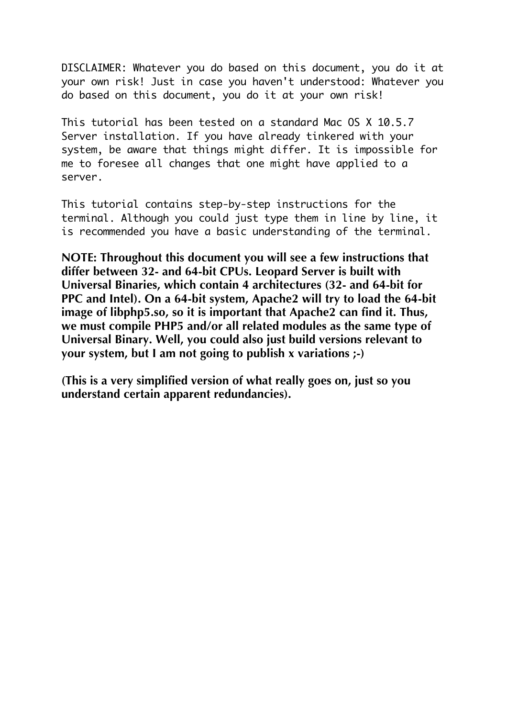DISCLAIMER: Whatever you do based on this document, you do it at your own risk! Just in case you haven't understood: Whatever you do based on this document, you do it at your own risk!

This tutorial has been tested on a standard Mac OS X 10.5.7 Server installation. If you have already tinkered with your system, be aware that things might differ. It is impossible for me to foresee all changes that one might have applied to a server.

This tutorial contains step-by-step instructions for the terminal. Although you could just type them in line by line, it is recommended you have a basic understanding of the terminal.

**NOTE: Throughout this document you will see a few instructions that differ between 32- and 64-bit CPUs. Leopard Server is built with Universal Binaries, which contain 4 architectures (32- and 64-bit for PPC and Intel). On a 64-bit system, Apache2 will try to load the 64-bit image of libphp5.so, so it is important that Apache2 can find it. Thus, we must compile PHP5 and/or all related modules as the same type of Universal Binary. Well, you could also just build versions relevant to your system, but I am not going to publish x variations ;-)**

**(This is a very simplified version of what really goes on, just so you understand certain apparent redundancies).**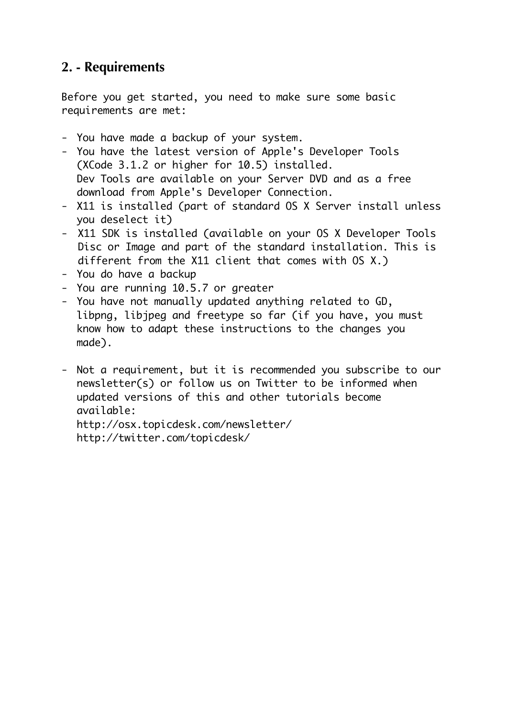# **2. - Requirements**

Before you get started, you need to make sure some basic requirements are met:

- You have made a backup of your system.
- You have the latest version of Apple's Developer Tools (XCode 3.1.2 or higher for 10.5) installed. Dev Tools are available on your Server DVD and as a free download from Apple's Developer Connection.
- X11 is installed (part of standard OS X Server install unless you deselect it)
- X11 SDK is installed (available on your OS X Developer Tools Disc or Image and part of the standard installation. This is different from the X11 client that comes with OS X.)
- You do have a backup
- You are running 10.5.7 or greater
- You have not manually updated anything related to GD, libpng, libjpeg and freetype so far (if you have, you must know how to adapt these instructions to the changes you made).
- Not a requirement, but it is recommended you subscribe to our newsletter(s) or follow us on Twitter to be informed when updated versions of this and other tutorials become available: http://osx.topicdesk.com/newsletter/

http://twitter.com/topicdesk/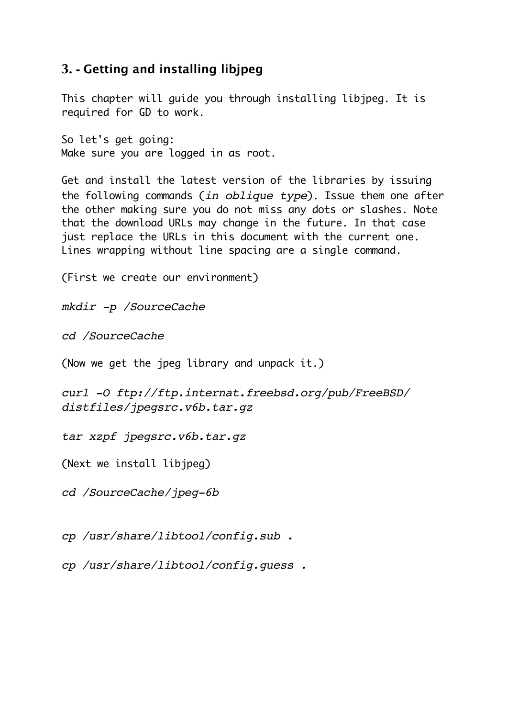## **3. - Getting and installing libjpeg**

This chapter will guide you through installing libjpeg. It is required for GD to work.

So let's get going: Make sure you are logged in as root.

Get and install the latest version of the libraries by issuing the following commands (*in oblique type*). Issue them one after the other making sure you do not miss any dots or slashes. Note that the download URLs may change in the future. In that case just replace the URLs in this document with the current one. Lines wrapping without line spacing are a single command.

(First we create our environment)

*mkdir -p /SourceCache*

*cd /SourceCache*

(Now we get the jpeg library and unpack it.)

*curl -O ftp://ftp.internat.freebsd.org/pub/FreeBSD/ distfiles/jpegsrc.v6b.tar.gz*

*tar xzpf jpegsrc.v6b.tar.gz*

(Next we install libjpeg)

*cd /SourceCache/jpeg-6b*

*cp /usr/share/libtool/config.sub .* 

*cp /usr/share/libtool/config.guess .*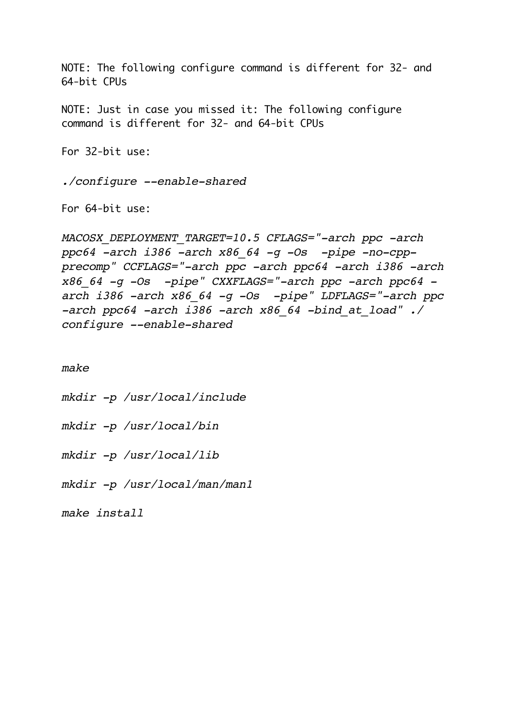NOTE: The following configure command is different for 32- and 64-bit CPUs

NOTE: Just in case you missed it: The following configure command is different for 32- and 64-bit CPUs

For 32-bit use:

*./configure --enable-shared*

For 64-bit use:

*MACOSX\_DEPLOYMENT\_TARGET=10.5 CFLAGS="-arch ppc -arch ppc64 -arch i386 -arch x86\_64 -g -Os -pipe -no-cppprecomp" CCFLAGS="-arch ppc -arch ppc64 -arch i386 -arch x86\_64 -g -Os -pipe" CXXFLAGS="-arch ppc -arch ppc64 arch i386 -arch x86\_64 -g -Os -pipe" LDFLAGS="-arch ppc -arch ppc64 -arch i386 -arch x86\_64 -bind\_at\_load" ./ configure --enable-shared*

*make*

*mkdir -p /usr/local/include*

*mkdir -p /usr/local/bin*

*mkdir -p /usr/local/lib*

*mkdir -p /usr/local/man/man1*

*make install*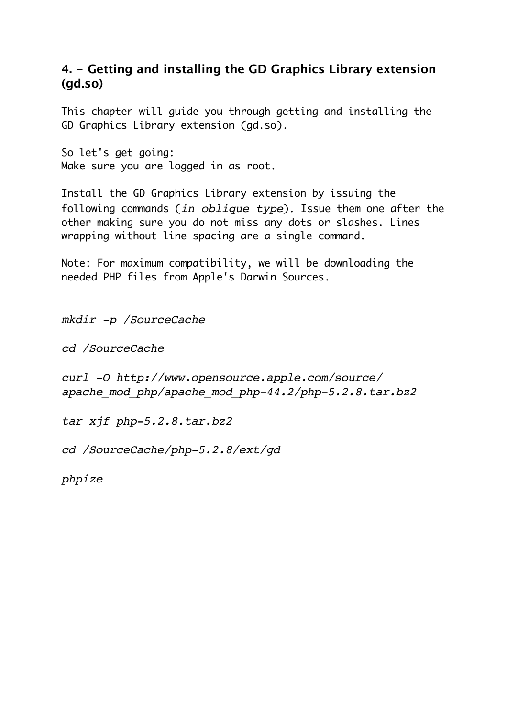### **4. - Getting and installing the GD Graphics Library extension (gd.so)**

This chapter will guide you through getting and installing the GD Graphics Library extension (gd.so).

So let's get going: Make sure you are logged in as root.

Install the GD Graphics Library extension by issuing the following commands (*in oblique type*). Issue them one after the other making sure you do not miss any dots or slashes. Lines wrapping without line spacing are a single command.

Note: For maximum compatibility, we will be downloading the needed PHP files from Apple's Darwin Sources.

*mkdir -p /SourceCache*

*cd /SourceCache*

*curl -O http://www.opensource.apple.com/source/ apache\_mod\_php/apache\_mod\_php-44.2/php-5.2.8.tar.bz2*

*tar xjf php-5.2.8.tar.bz2*

*cd /SourceCache/php-5.2.8/ext/gd*

*phpize*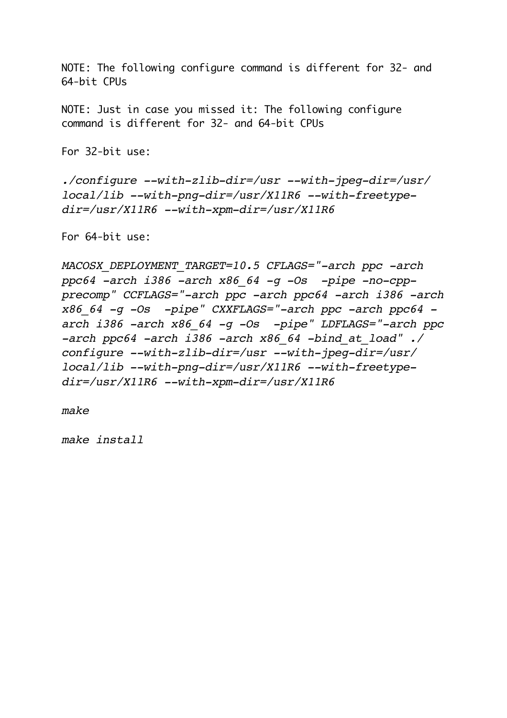NOTE: The following configure command is different for 32- and 64-bit CPUs

NOTE: Just in case you missed it: The following configure command is different for 32- and 64-bit CPUs

For 32-bit use:

*./configure --with-zlib-dir=/usr --with-jpeg-dir=/usr/ local/lib --with-png-dir=/usr/X11R6 --with-freetypedir=/usr/X11R6 --with-xpm-dir=/usr/X11R6*

For 64-bit use:

*MACOSX\_DEPLOYMENT\_TARGET=10.5 CFLAGS="-arch ppc -arch ppc64 -arch i386 -arch x86\_64 -g -Os -pipe -no-cppprecomp" CCFLAGS="-arch ppc -arch ppc64 -arch i386 -arch x86\_64 -g -Os -pipe" CXXFLAGS="-arch ppc -arch ppc64 arch i386 -arch x86\_64 -g -Os -pipe" LDFLAGS="-arch ppc -arch ppc64 -arch i386 -arch x86\_64 -bind\_at\_load" ./ configure --with-zlib-dir=/usr --with-jpeg-dir=/usr/ local/lib --with-png-dir=/usr/X11R6 --with-freetypedir=/usr/X11R6 --with-xpm-dir=/usr/X11R6*

*make*

*make install*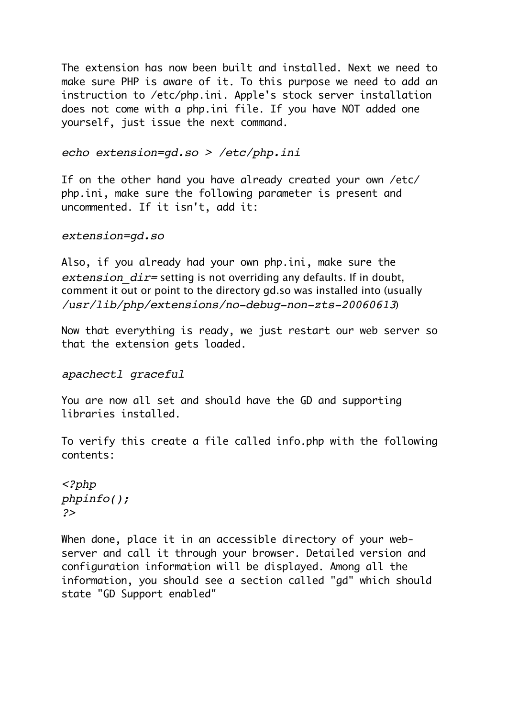The extension has now been built and installed. Next we need to make sure PHP is aware of it. To this purpose we need to add an instruction to /etc/php.ini. Apple's stock server installation does not come with a php.ini file. If you have NOT added one yourself, just issue the next command.

#### *echo extension=gd.so > /etc/php.ini*

If on the other hand you have already created your own /etc/ php.ini, make sure the following parameter is present and uncommented. If it isn't, add it:

#### *extension=gd.so*

Also, if you already had your own php.ini, make sure the *extension dir=* setting is not overriding any defaults. If in doubt, comment it out or point to the directory gd.so was installed into (usually */usr/lib/php/extensions/no-debug-non-zts-20060613*)

Now that everything is ready, we just restart our web server so that the extension gets loaded.

*apachectl graceful*

You are now all set and should have the GD and supporting libraries installed.

To verify this create a file called info.php with the following contents:

```
<?php 
phpinfo(); 
?>
```
When done, place it in an accessible directory of your webserver and call it through your browser. Detailed version and configuration information will be displayed. Among all the information, you should see a section called "gd" which should state "GD Support enabled"